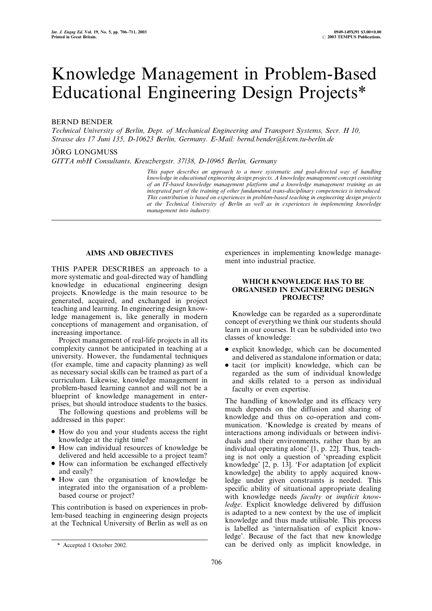# Knowledge Management in Problem-Based Educational Engineering Design Projects\*

### BERND BENDER

Technical University of Berlin, Dept. of Mechanical Engineering and Transport Systems, Secr. H 10, Strasse des 17 Juni 135, D-10623 Berlin, Germany. E-Mail: bernd.bender@ktem.tu-berlin.de

#### JÖRG LONGMUSS

GITTA mbH Consultants, Kreuzbergstr. 37/38, D-10965 Berlin, Germany

This paper describes an approach to a more systematic and goal-directed way of handling knowledge in educational engineering design projects. A knowledge management concept consisting of an IT-based knowledge management platform and a knowledge management training as an integrated part of the training of other fundamental trans-disciplinary competencies is introduced. This contribution is based on experiences in problem-based teaching in engineering design projects at the Technical University of Berlin as well as in experiences in implementing knowledge management into industry.

## AIMS AND OBJECTIVES

THIS PAPER DESCRIBES an approach to a more systematic and goal-directed way of handling knowledge in educational engineering design projects. Knowledge is the main resource to be generated, acquired, and exchanged in project teaching and learning. In engineering design knowledge management is, like generally in modern conceptions of management and organisation, of increasing importance.

Project management of real-life projects in all its complexity cannot be anticipated in teaching at a university. However, the fundamental techniques (for example, time and capacity planning) as well as necessary social skills can be trained as part of a curriculum. Likewise, knowledge management in problem-based learning cannot and will not be a blueprint of knowledge management in enterprises, but should introduce students to the basics.

The following questions and problems will be addressed in this paper:

- . How do you and your students access the right knowledge at the right time?
- . How can individual resources of knowledge be delivered and held accessible to a project team?
- . How can information be exchanged effectively and easily?
- . How can the organisation of knowledge be integrated into the organisation of a problembased course or project?

This contribution is based on experiences in problem-based teaching in engineering design projects at the Technical University of Berlin as well as on experiences in implementing knowledge management into industrial practice.

#### WHICH KNOWLEDGE HAS TO BE ORGANISED IN ENGINEERING DESIGN PROJECTS?

Knowledge can be regarded as a superordinate concept of everything we think our students should learn in our courses. It can be subdivided into two classes of knowledge:

- . explicit knowledge, which can be documented and delivered as standalone information or data;
- tacit (or implicit) knowledge, which can be regarded as the sum of individual knowledge and skills related to a person as individual faculty or even expertise.

The handling of knowledge and its efficacy very much depends on the diffusion and sharing of knowledge and thus on co-operation and communication. 'Knowledge is created by means of interactions among individuals or between individuals and their environments, rather than by an individual operating alone' [1, p. 22]. Thus, teaching is not only a question of `spreading explicit knowledge' [2, p. 13]. `For adaptation [of explicit knowledge] the ability to apply acquired knowledge under given constraints is needed. This specific ability of situational appropriate dealing with knowledge needs *faculty* or *implicit know*ledge. Explicit knowledge delivered by diffusion is adapted to a new context by the use of implicit knowledge and thus made utilisable. This process is labelled as `internalisation of explicit knowledge'. Because of the fact that new knowledge \* Accepted 1 October 2002. can be derived only as implicit knowledge, in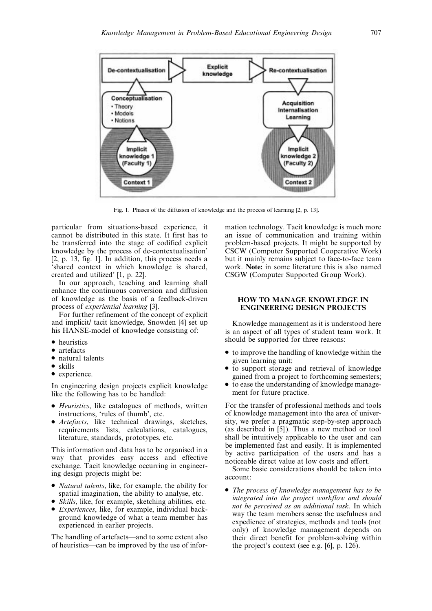

Fig. 1. Phases of the diffusion of knowledge and the process of learning [2, p. 13].

particular from situations-based experience, it cannot be distributed in this state. It first has to be transferred into the stage of codified explicit knowledge by the process of de-contextualisation'  $[2, p. 13, fig. 1]$ . In addition, this process needs a `shared context in which knowledge is shared, created and utilized' [1, p. 22].

In our approach, teaching and learning shall enhance the continuous conversion and diffusion of knowledge as the basis of a feedback-driven process of experiential learning [3].

For further refinement of the concept of explicit and implicit/ tacit knowledge, Snowden [4] set up his HANSE-model of knowledge consisting of:

- heuristics
- artefacts
- natural talents
- $\bullet$  skills
- experience.

In engineering design projects explicit knowledge like the following has to be handled:

- . Heuristics, like catalogues of methods, written instructions, `rules of thumb', etc.
- . Artefacts, like technical drawings, sketches, requirements lists, calculations, catalogues, literature, standards, prototypes, etc.

This information and data has to be organised in a way that provides easy access and effective exchange. Tacit knowledge occurring in engineering design projects might be:

- . Natural talents, like, for example, the ability for spatial imagination, the ability to analyse, etc.
- . Skills, like, for example, sketching abilities, etc.
- . Experiences, like, for example, individual background knowledge of what a team member has experienced in earlier projects.

The handling of artefacts—and to some extent also of heuristics—can be improved by the use of information technology. Tacit knowledge is much more an issue of communication and training within problem-based projects. It might be supported by CSCW (Computer Supported Cooperative Work) but it mainly remains subject to face-to-face team work. Note: in some literature this is also named CSGW (Computer Supported Group Work).

#### HOW TO MANAGE KNOWLEDGE IN ENGINEERING DESIGN PROJECTS

Knowledge management as it is understood here is an aspect of all types of student team work. It should be supported for three reasons:

- . to improve the handling of knowledge within the given learning unit;
- to support storage and retrieval of knowledge gained from a project to forthcoming semesters;
- . to ease the understanding of knowledge management for future practice.

For the transfer of professional methods and tools of knowledge management into the area of university, we prefer a pragmatic step-by-step approach (as described in [5]). Thus a new method or tool shall be intuitively applicable to the user and can be implemented fast and easily. It is implemented by active participation of the users and has a noticeable direct value at low costs and effort.

Some basic considerations should be taken into account:

• The process of knowledge management has to be integrated into the project workflow and should not be perceived as an additional task. In which way the team members sense the usefulness and expedience of strategies, methods and tools (not only) of knowledge management depends on their direct benefit for problem-solving within the project's context (see e.g. [6], p. 126).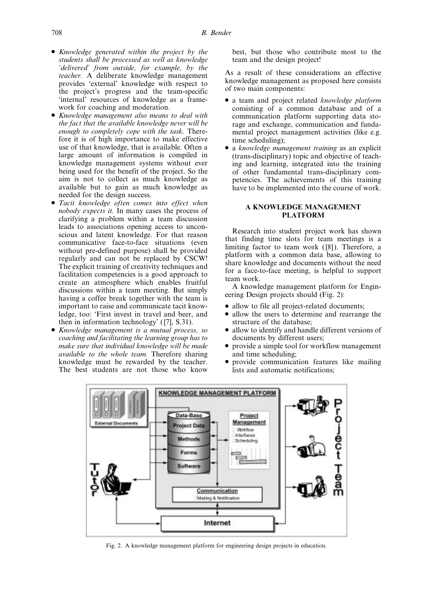- . Knowledge generated within the project by the students shall be processed as well as knowledge `delivered' from outside, for example, by the teacher. A deliberate knowledge management provides `external' knowledge with respect to the project's progress and the team-specific `internal' resources of knowledge as a framework for coaching and moderation.
- . Knowledge management also means to deal with the fact that the available knowledge never will be enough to completely cope with the task. Therefore it is of high importance to make effective use of that knowledge, that is available. Often a large amount of information is compiled in knowledge management systems without ever being used for the benefit of the project. So the aim is not to collect as much knowledge as available but to gain as much knowledge as needed for the design success.
- . Tacit knowledge often comes into effect when nobody expects it. In many cases the process of clarifying a problem within a team discussion leads to associations opening access to unconscious and latent knowledge. For that reason communicative face-to-face situations (even without pre-defined purpose) shall be provided regularly and can not be replaced by CSCW! The explicit training of creativity techniques and facilitation competencies is a good approach to create an atmosphere which enables fruitful discussions within a team meeting. But simply having a coffee break together with the team is important to raise and communicate tacit knowledge, too: 'First invest in travel and beer, and then in information technology' ([7], S.31).
- . Knowledge management is a mutual process, so coaching and facilitating the learning group has to make sure that individual knowledge will be made available to the whole team. Therefore sharing knowledge must be rewarded by the teacher. The best students are not those who know

best, but those who contribute most to the team and the design project!

As a result of these considerations an effective knowledge management as proposed here consists of two main components:

- a team and project related knowledge platform consisting of a common database and of a communication platform supporting data storage and exchange, communication and fundamental project management activities (like e.g. time scheduling);
- a knowledge management training as an explicit (trans-disciplinary) topic and objective of teaching and learning, integrated into the training of other fundamental trans-disciplinary competencies. The achievements of this training have to be implemented into the course of work.

### A KNOWLEDGE MANAGEMENT PLATFORM

Research into student project work has shown that finding time slots for team meetings is a limiting factor to team work ([8]). Therefore, a platform with a common data base, allowing to share knowledge and documents without the need for a face-to-face meeting, is helpful to support team work.

A knowledge management platform for Engineering Design projects should (Fig. 2):

- . allow to file all project-related documents;
- allow the users to determine and rearrange the structure of the database;
- . allow to identify and handle different versions of documents by different users;
- . provide a simple tool for workflow management and time scheduling;
- . provide communication features like mailing lists and automatic notifications;



Fig. 2. A knowledge management platform for engineering design projects in education.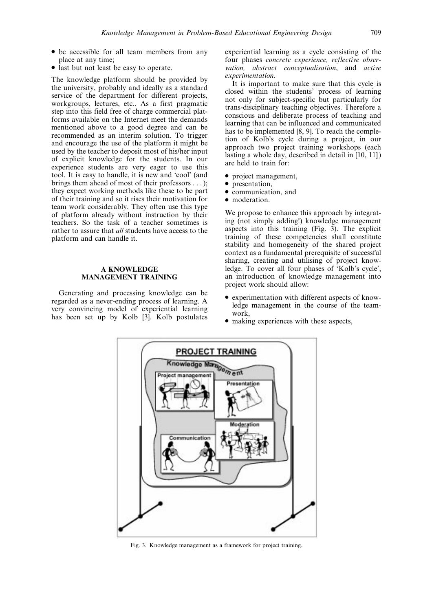- . be accessible for all team members from any place at any time;
- last but not least be easy to operate.

The knowledge platform should be provided by the university, probably and ideally as a standard service of the department for different projects, workgroups, lectures, etc.. As a first pragmatic step into this field free of charge commercial platforms available on the Internet meet the demands mentioned above to a good degree and can be recommended as an interim solution. To trigger and encourage the use of the platform it might be used by the teacher to deposit most of his/her input of explicit knowledge for the students. In our experience students are very eager to use this tool. It is easy to handle, it is new and `cool' (and brings them ahead of most of their professors . . . ); they expect working methods like these to be part of their training and so it rises their motivation for team work considerably. They often use this type of platform already without instruction by their teachers. So the task of a teacher sometimes is rather to assure that all students have access to the platform and can handle it.

#### A KNOWLEDGE MANAGEMENT TRAINING

Generating and processing knowledge can be regarded as a never-ending process of learning. A very convincing model of experiential learning has been set up by Kolb [3]. Kolb postulates experiential learning as a cycle consisting of the four phases concrete experience, reflective observation, abstract conceptualisation, and active experimentation.

It is important to make sure that this cycle is closed within the students' process of learning not only for subject-specific but particularly for trans-disciplinary teaching objectives. Therefore a conscious and deliberate process of teaching and learning that can be influenced and communicated has to be implemented [8, 9]. To reach the completion of Kolb's cycle during a project, in our approach two project training workshops (each lasting a whole day, described in detail in [10, 11]) are held to train for:

- project management,
- $\bullet$  presentation,
- . communication, and
- moderation.

We propose to enhance this approach by integrating (not simply adding!) knowledge management aspects into this training (Fig. 3). The explicit training of these competencies shall constitute stability and homogeneity of the shared project context as a fundamental prerequisite of successful sharing, creating and utilising of project knowledge. To cover all four phases of `Kolb's cycle', an introduction of knowledge management into project work should allow:

- . experimentation with different aspects of knowledge management in the course of the teamwork,
- . making experiences with these aspects,



Fig. 3. Knowledge management as a framework for project training.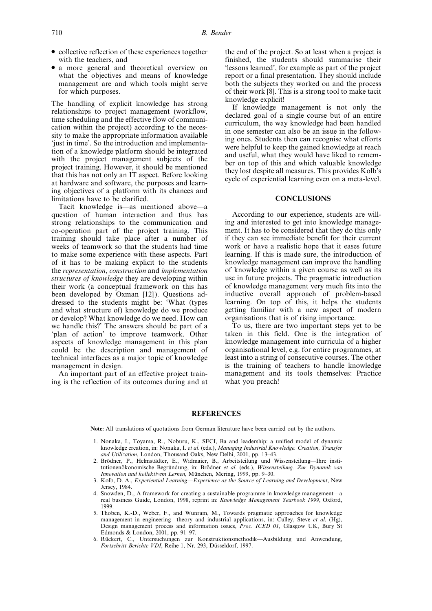- collective reflection of these experiences together with the teachers, and
- . a more general and theoretical overview on what the objectives and means of knowledge management are and which tools might serve for which purposes.

The handling of explicit knowledge has strong relationships to project management (workflow, time scheduling and the effective flow of communication within the project) according to the necessity to make the appropriate information available `just in time'. So the introduction and implementation of a knowledge platform should be integrated with the project management subjects of the project training. However, it should be mentioned that this has not only an IT aspect. Before looking at hardware and software, the purposes and learning objectives of a platform with its chances and limitations have to be clarified.

Tacit knowledge is—as mentioned above—a question of human interaction and thus has strong relationships to the communication and co-operation part of the project training. This training should take place after a number of weeks of teamwork so that the students had time to make some experience with these aspects. Part of it has to be making explicit to the students the representation, construction and implementation structures of knowledge they are developing within their work (a conceptual framework on this has been developed by Oxman [12]). Questions addressed to the students might be: `What (types and what structure of) knowledge do we produce or develop? What knowledge do we need. How can we handle this?' The answers should be part of a `plan of action' to improve teamwork. Other aspects of knowledge management in this plan could be the description and management of technical interfaces as a major topic of knowledge management in design.

An important part of an effective project training is the reflection of its outcomes during and at the end of the project. So at least when a project is finished, the students should summarise their `lessons learned', for example as part of the project report or a final presentation. They should include both the subjects they worked on and the process of their work [8]. This is a strong tool to make tacit knowledge explicit!

If knowledge management is not only the declared goal of a single course but of an entire curriculum, the way knowledge had been handled in one semester can also be an issue in the following ones. Students then can recognise what efforts were helpful to keep the gained knowledge at reach and useful, what they would have liked to remember on top of this and which valuable knowledge they lost despite all measures. This provides Kolb's cycle of experiential learning even on a meta-level.

#### **CONCLUSIONS**

According to our experience, students are willing and interested to get into knowledge management. It has to be considered that they do this only if they can see immediate benefit for their current work or have a realistic hope that it eases future learning. If this is made sure, the introduction of knowledge management can improve the handling of knowledge within a given course as well as its use in future projects. The pragmatic introduction of knowledge management very much fits into the inductive overall approach of problem-based learning. On top of this, it helps the students getting familiar with a new aspect of modern organisations that is of rising importance.

To us, there are two important steps yet to be taken in this field. One is the integration of knowledge management into curricula of a higher organisational level, e.g. for entire programmes, at least into a string of consecutive courses. The other is the training of teachers to handle knowledge management and its tools themselves: Practice what you preach!

#### REFERENCES

Note: All translations of quotations from German literature have been carried out by the authors.

- 1. Nonaka, I., Toyama, R., Noburu, K., SECI, Ba and leadership: a unified model of dynamic knowledge creation, in: Nonaka, I. et al. (eds.), Managing Industrial Knowledge. Creation, Transfer and Utilization, London, Thousand Oaks, New Delhi, 2001, pp. 13-43.
- 2. Brödner, P., Helmstädter, E., Widmaier, B., Arbeitsteilung und Wissensteilung—Ihre institutionenökonomische Begründung, in: Brödner et al. (eds.), Wissensteilung. Zur Dynamik von Innovation und kollektivem Lernen, München, Mering, 1999, pp. 9-30.
- 3. Kolb, D. A., Experiential Learning—Experience as the Source of Learning and Development, New Jersey, 1984.
- 4. Snowden, D., A framework for creating a sustainable programme in knowledge management—a real business Guide, London, 1998, reprint in: Knowledge Management Yearbook 1999, Oxford, 1999.
- 5. Thoben, K.-D., Weber, F., and Wunram, M., Towards pragmatic approaches for knowledge management in engineering—theory and industrial applications, in: Culley, Steve et al. (Hg), Design management process and information issues, Proc. ICED 01, Glasgow UK, Bury St Edmonds & London, 2001, pp. 91-97.
- 6. RuÈckert, C., Untersuchungen zur KonstruktionsmethodikÐAusbildung und Anwendung, Fortschritt Berichte VDI, Reihe 1, Nr. 293, Düsseldorf, 1997.